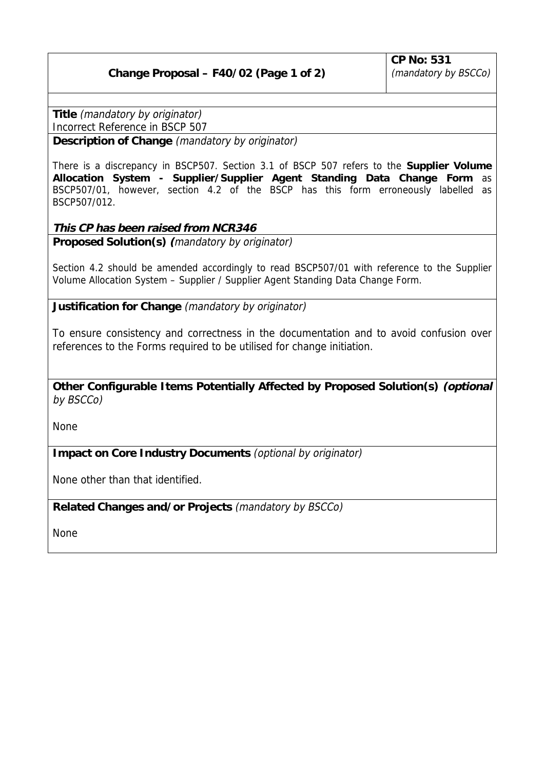## **Change Proposal – F40/02 (Page 1 of 2)**

**Title** (mandatory by originator)

Incorrect Reference in BSCP 507

**Description of Change** (mandatory by originator)

There is a discrepancy in BSCP507. Section 3.1 of BSCP 507 refers to the **Supplier Volume Allocation System - Supplier/Supplier Agent Standing Data Change Form** as BSCP507/01, however, section 4.2 of the BSCP has this form erroneously labelled as BSCP507/012.

## **This CP has been raised from NCR346**

**Proposed Solution(s) (**mandatory by originator)

Section 4.2 should be amended accordingly to read BSCP507/01 with reference to the Supplier Volume Allocation System – Supplier / Supplier Agent Standing Data Change Form.

**Justification for Change** (mandatory by originator)

To ensure consistency and correctness in the documentation and to avoid confusion over references to the Forms required to be utilised for change initiation.

**Other Configurable Items Potentially Affected by Proposed Solution(s) (optional** by BSCCo)

None

**Impact on Core Industry Documents** (optional by originator)

None other than that identified.

**Related Changes and/or Projects** (mandatory by BSCCo)

None